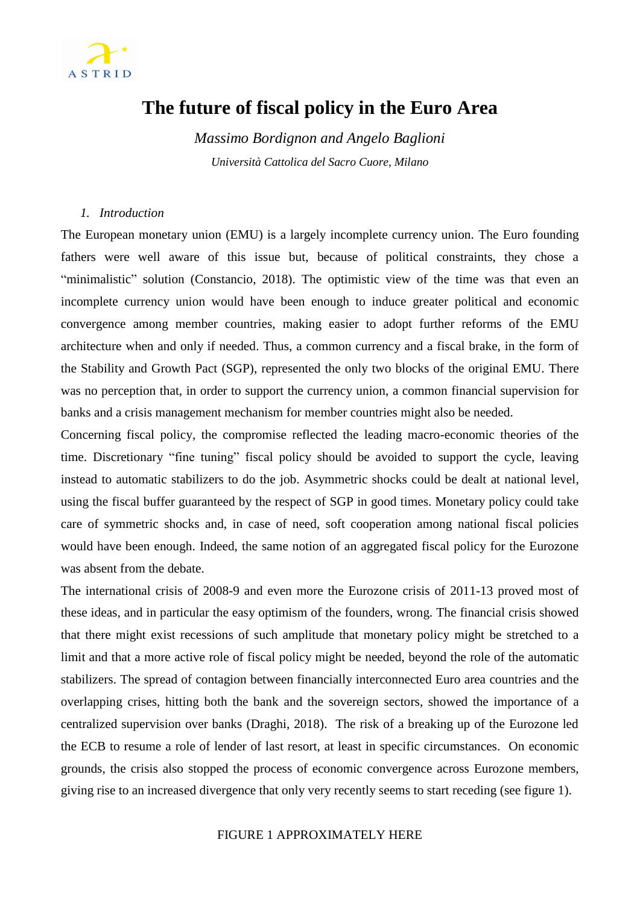

# **The future of fiscal policy in the Euro Area**

*Massimo Bordignon and Angelo Baglioni Università Cattolica del Sacro Cuore, Milano*

### *1. Introduction*

The European monetary union (EMU) is a largely incomplete currency union. The Euro founding fathers were well aware of this issue but, because of political constraints, they chose a "minimalistic" solution (Constancio, 2018). The optimistic view of the time was that even an incomplete currency union would have been enough to induce greater political and economic convergence among member countries, making easier to adopt further reforms of the EMU architecture when and only if needed. Thus, a common currency and a fiscal brake, in the form of the Stability and Growth Pact (SGP), represented the only two blocks of the original EMU. There was no perception that, in order to support the currency union, a common financial supervision for banks and a crisis management mechanism for member countries might also be needed.

Concerning fiscal policy, the compromise reflected the leading macro-economic theories of the time. Discretionary "fine tuning" fiscal policy should be avoided to support the cycle, leaving instead to automatic stabilizers to do the job. Asymmetric shocks could be dealt at national level, using the fiscal buffer guaranteed by the respect of SGP in good times. Monetary policy could take care of symmetric shocks and, in case of need, soft cooperation among national fiscal policies would have been enough. Indeed, the same notion of an aggregated fiscal policy for the Eurozone was absent from the debate.

The international crisis of 2008-9 and even more the Eurozone crisis of 2011-13 proved most of these ideas, and in particular the easy optimism of the founders, wrong. The financial crisis showed that there might exist recessions of such amplitude that monetary policy might be stretched to a limit and that a more active role of fiscal policy might be needed, beyond the role of the automatic stabilizers. The spread of contagion between financially interconnected Euro area countries and the overlapping crises, hitting both the bank and the sovereign sectors, showed the importance of a centralized supervision over banks (Draghi, 2018). The risk of a breaking up of the Eurozone led the ECB to resume a role of lender of last resort, at least in specific circumstances. On economic grounds, the crisis also stopped the process of economic convergence across Eurozone members, giving rise to an increased divergence that only very recently seems to start receding (see figure 1).

#### FIGURE 1 APPROXIMATELY HERE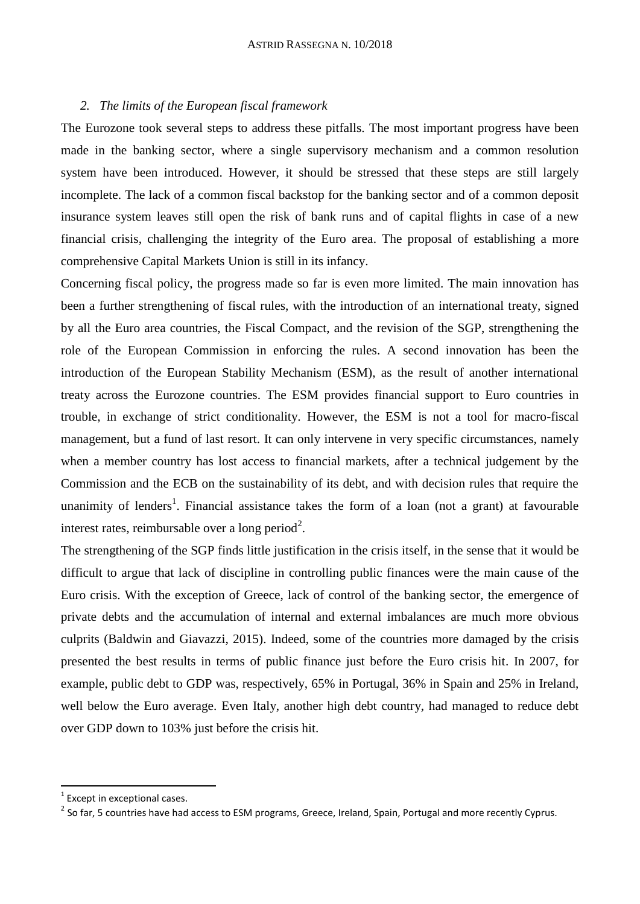### *2. The limits of the European fiscal framework*

The Eurozone took several steps to address these pitfalls. The most important progress have been made in the banking sector, where a single supervisory mechanism and a common resolution system have been introduced. However, it should be stressed that these steps are still largely incomplete. The lack of a common fiscal backstop for the banking sector and of a common deposit insurance system leaves still open the risk of bank runs and of capital flights in case of a new financial crisis, challenging the integrity of the Euro area. The proposal of establishing a more comprehensive Capital Markets Union is still in its infancy.

Concerning fiscal policy, the progress made so far is even more limited. The main innovation has been a further strengthening of fiscal rules, with the introduction of an international treaty, signed by all the Euro area countries, the Fiscal Compact, and the revision of the SGP, strengthening the role of the European Commission in enforcing the rules. A second innovation has been the introduction of the European Stability Mechanism (ESM), as the result of another international treaty across the Eurozone countries. The ESM provides financial support to Euro countries in trouble, in exchange of strict conditionality. However, the ESM is not a tool for macro-fiscal management, but a fund of last resort. It can only intervene in very specific circumstances, namely when a member country has lost access to financial markets, after a technical judgement by the Commission and the ECB on the sustainability of its debt, and with decision rules that require the unanimity of lenders<sup>1</sup>. Financial assistance takes the form of a loan (not a grant) at favourable interest rates, reimbursable over a long period<sup>2</sup>.

The strengthening of the SGP finds little justification in the crisis itself, in the sense that it would be difficult to argue that lack of discipline in controlling public finances were the main cause of the Euro crisis. With the exception of Greece, lack of control of the banking sector, the emergence of private debts and the accumulation of internal and external imbalances are much more obvious culprits (Baldwin and Giavazzi, 2015). Indeed, some of the countries more damaged by the crisis presented the best results in terms of public finance just before the Euro crisis hit. In 2007, for example, public debt to GDP was, respectively, 65% in Portugal, 36% in Spain and 25% in Ireland, well below the Euro average. Even Italy, another high debt country, had managed to reduce debt over GDP down to 103% just before the crisis hit.

 $1$  Except in exceptional cases.

<sup>&</sup>lt;sup>2</sup> So far, 5 countries have had access to ESM programs, Greece, Ireland, Spain, Portugal and more recently Cyprus.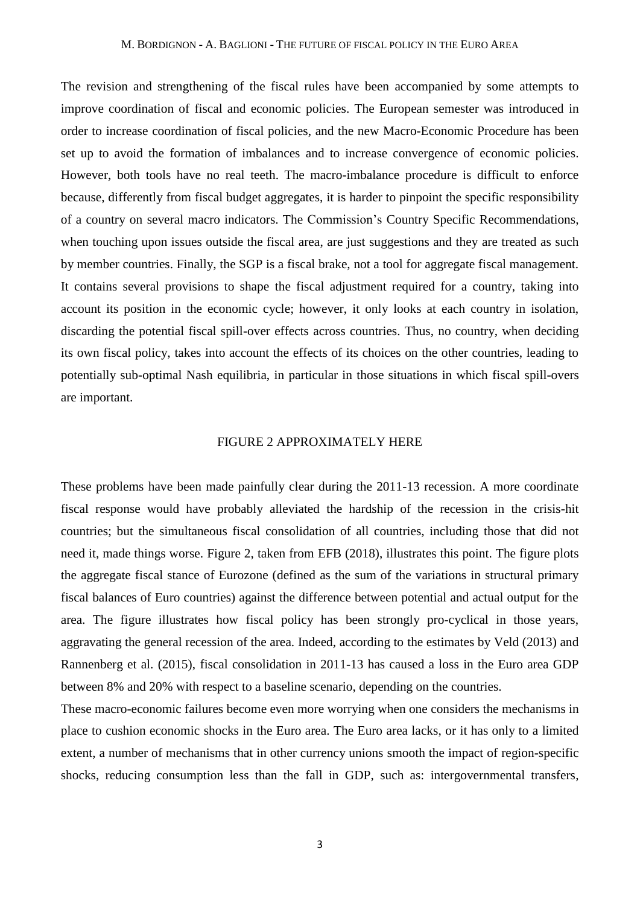The revision and strengthening of the fiscal rules have been accompanied by some attempts to improve coordination of fiscal and economic policies. The European semester was introduced in order to increase coordination of fiscal policies, and the new Macro-Economic Procedure has been set up to avoid the formation of imbalances and to increase convergence of economic policies. However, both tools have no real teeth. The macro-imbalance procedure is difficult to enforce because, differently from fiscal budget aggregates, it is harder to pinpoint the specific responsibility of a country on several macro indicators. The Commission's Country Specific Recommendations, when touching upon issues outside the fiscal area, are just suggestions and they are treated as such by member countries. Finally, the SGP is a fiscal brake, not a tool for aggregate fiscal management. It contains several provisions to shape the fiscal adjustment required for a country, taking into account its position in the economic cycle; however, it only looks at each country in isolation, discarding the potential fiscal spill-over effects across countries. Thus, no country, when deciding its own fiscal policy, takes into account the effects of its choices on the other countries, leading to potentially sub-optimal Nash equilibria, in particular in those situations in which fiscal spill-overs are important.

# FIGURE 2 APPROXIMATELY HERE

These problems have been made painfully clear during the 2011-13 recession. A more coordinate fiscal response would have probably alleviated the hardship of the recession in the crisis-hit countries; but the simultaneous fiscal consolidation of all countries, including those that did not need it, made things worse. Figure 2, taken from EFB (2018), illustrates this point. The figure plots the aggregate fiscal stance of Eurozone (defined as the sum of the variations in structural primary fiscal balances of Euro countries) against the difference between potential and actual output for the area. The figure illustrates how fiscal policy has been strongly pro-cyclical in those years, aggravating the general recession of the area. Indeed, according to the estimates by Veld (2013) and Rannenberg et al. (2015), fiscal consolidation in 2011-13 has caused a loss in the Euro area GDP between 8% and 20% with respect to a baseline scenario, depending on the countries.

These macro-economic failures become even more worrying when one considers the mechanisms in place to cushion economic shocks in the Euro area. The Euro area lacks, or it has only to a limited extent, a number of mechanisms that in other currency unions smooth the impact of region-specific shocks, reducing consumption less than the fall in GDP, such as: intergovernmental transfers,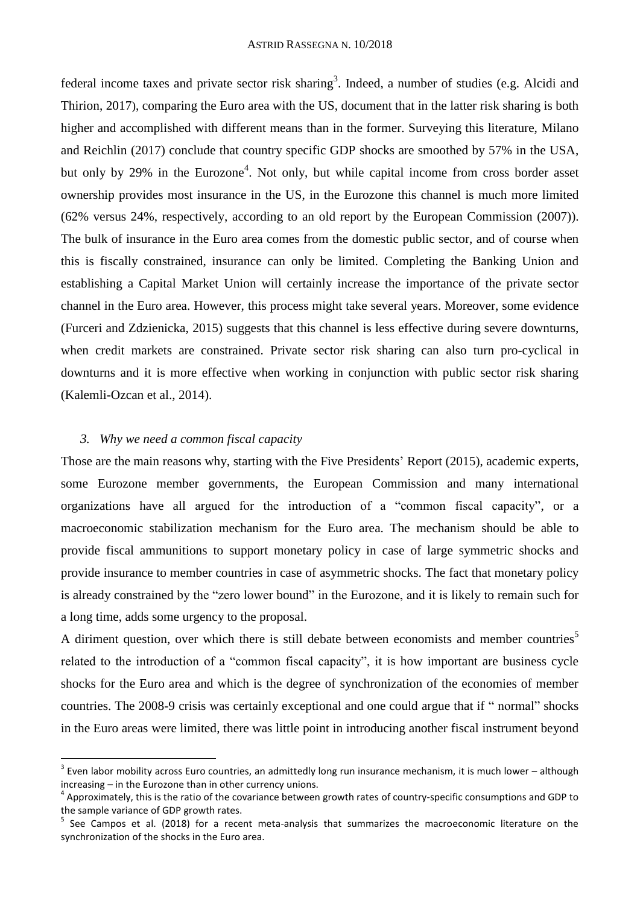federal income taxes and private sector risk sharing<sup>3</sup>. Indeed, a number of studies (e.g. Alcidi and Thirion, 2017), comparing the Euro area with the US, document that in the latter risk sharing is both higher and accomplished with different means than in the former. Surveying this literature, Milano and Reichlin (2017) conclude that country specific GDP shocks are smoothed by 57% in the USA, but only by 29% in the Eurozone<sup>4</sup>. Not only, but while capital income from cross border asset ownership provides most insurance in the US, in the Eurozone this channel is much more limited (62% versus 24%, respectively, according to an old report by the European Commission (2007)). The bulk of insurance in the Euro area comes from the domestic public sector, and of course when this is fiscally constrained, insurance can only be limited. Completing the Banking Union and establishing a Capital Market Union will certainly increase the importance of the private sector channel in the Euro area. However, this process might take several years. Moreover, some evidence (Furceri and Zdzienicka, 2015) suggests that this channel is less effective during severe downturns, when credit markets are constrained. Private sector risk sharing can also turn pro-cyclical in downturns and it is more effective when working in conjunction with public sector risk sharing (Kalemli-Ozcan et al., 2014).

## *3. Why we need a common fiscal capacity*

**.** 

Those are the main reasons why, starting with the Five Presidents' Report (2015), academic experts, some Eurozone member governments, the European Commission and many international organizations have all argued for the introduction of a "common fiscal capacity", or a macroeconomic stabilization mechanism for the Euro area. The mechanism should be able to provide fiscal ammunitions to support monetary policy in case of large symmetric shocks and provide insurance to member countries in case of asymmetric shocks. The fact that monetary policy is already constrained by the "zero lower bound" in the Eurozone, and it is likely to remain such for a long time, adds some urgency to the proposal.

A diriment question, over which there is still debate between economists and member countries<sup>5</sup> related to the introduction of a "common fiscal capacity", it is how important are business cycle shocks for the Euro area and which is the degree of synchronization of the economies of member countries. The 2008-9 crisis was certainly exceptional and one could argue that if " normal" shocks in the Euro areas were limited, there was little point in introducing another fiscal instrument beyond

 $3$  Even labor mobility across Euro countries, an admittedly long run insurance mechanism, it is much lower – although increasing – in the Eurozone than in other currency unions.

<sup>&</sup>lt;sup>4</sup> Approximately, this is the ratio of the covariance between growth rates of country-specific consumptions and GDP to the sample variance of GDP growth rates.

<sup>&</sup>lt;sup>5</sup> See Campos et al. (2018) for a recent meta-analysis that summarizes the macroeconomic literature on the synchronization of the shocks in the Euro area.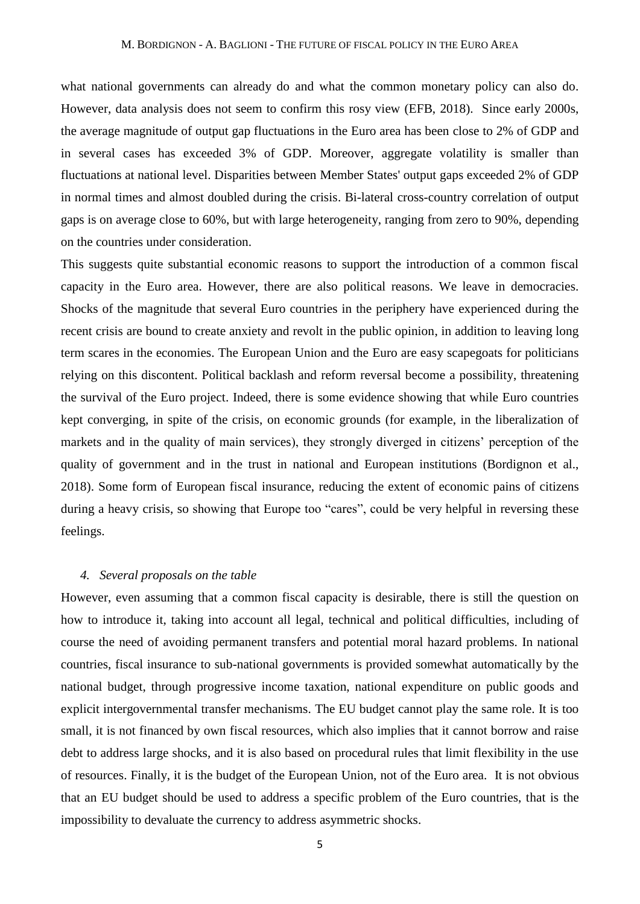what national governments can already do and what the common monetary policy can also do. However, data analysis does not seem to confirm this rosy view (EFB, 2018). Since early 2000s, the average magnitude of output gap fluctuations in the Euro area has been close to 2% of GDP and in several cases has exceeded 3% of GDP. Moreover, aggregate volatility is smaller than fluctuations at national level. Disparities between Member States' output gaps exceeded 2% of GDP in normal times and almost doubled during the crisis. Bi-lateral cross-country correlation of output gaps is on average close to 60%, but with large heterogeneity, ranging from zero to 90%, depending on the countries under consideration.

This suggests quite substantial economic reasons to support the introduction of a common fiscal capacity in the Euro area. However, there are also political reasons. We leave in democracies. Shocks of the magnitude that several Euro countries in the periphery have experienced during the recent crisis are bound to create anxiety and revolt in the public opinion, in addition to leaving long term scares in the economies. The European Union and the Euro are easy scapegoats for politicians relying on this discontent. Political backlash and reform reversal become a possibility, threatening the survival of the Euro project. Indeed, there is some evidence showing that while Euro countries kept converging, in spite of the crisis, on economic grounds (for example, in the liberalization of markets and in the quality of main services), they strongly diverged in citizens' perception of the quality of government and in the trust in national and European institutions (Bordignon et al., 2018). Some form of European fiscal insurance, reducing the extent of economic pains of citizens during a heavy crisis, so showing that Europe too "cares", could be very helpful in reversing these feelings.

#### *4. Several proposals on the table*

However, even assuming that a common fiscal capacity is desirable, there is still the question on how to introduce it, taking into account all legal, technical and political difficulties, including of course the need of avoiding permanent transfers and potential moral hazard problems. In national countries, fiscal insurance to sub-national governments is provided somewhat automatically by the national budget, through progressive income taxation, national expenditure on public goods and explicit intergovernmental transfer mechanisms. The EU budget cannot play the same role. It is too small, it is not financed by own fiscal resources, which also implies that it cannot borrow and raise debt to address large shocks, and it is also based on procedural rules that limit flexibility in the use of resources. Finally, it is the budget of the European Union, not of the Euro area. It is not obvious that an EU budget should be used to address a specific problem of the Euro countries, that is the impossibility to devaluate the currency to address asymmetric shocks.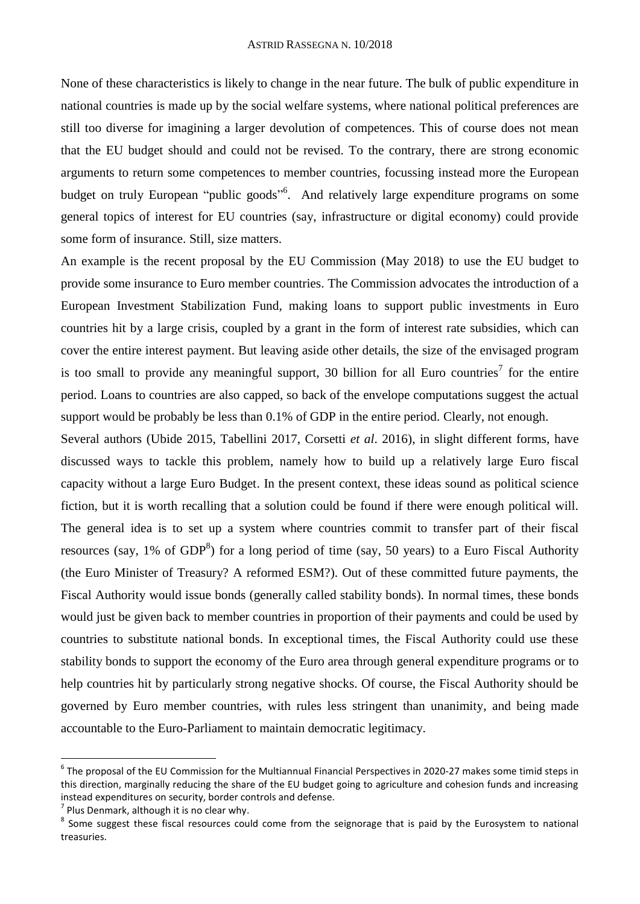None of these characteristics is likely to change in the near future. The bulk of public expenditure in national countries is made up by the social welfare systems, where national political preferences are still too diverse for imagining a larger devolution of competences. This of course does not mean that the EU budget should and could not be revised. To the contrary, there are strong economic arguments to return some competences to member countries, focussing instead more the European budget on truly European "public goods"<sup>6</sup>. And relatively large expenditure programs on some general topics of interest for EU countries (say, infrastructure or digital economy) could provide some form of insurance. Still, size matters.

An example is the recent proposal by the EU Commission (May 2018) to use the EU budget to provide some insurance to Euro member countries. The Commission advocates the introduction of a European Investment Stabilization Fund, making loans to support public investments in Euro countries hit by a large crisis, coupled by a grant in the form of interest rate subsidies, which can cover the entire interest payment. But leaving aside other details, the size of the envisaged program is too small to provide any meaningful support, 30 billion for all Euro countries<sup>7</sup> for the entire period. Loans to countries are also capped, so back of the envelope computations suggest the actual support would be probably be less than 0.1% of GDP in the entire period. Clearly, not enough.

Several authors (Ubide 2015, Tabellini 2017, Corsetti *et al*. 2016), in slight different forms, have discussed ways to tackle this problem, namely how to build up a relatively large Euro fiscal capacity without a large Euro Budget. In the present context, these ideas sound as political science fiction, but it is worth recalling that a solution could be found if there were enough political will. The general idea is to set up a system where countries commit to transfer part of their fiscal resources (say, 1% of  $GDP^8$ ) for a long period of time (say, 50 years) to a Euro Fiscal Authority (the Euro Minister of Treasury? A reformed ESM?). Out of these committed future payments, the Fiscal Authority would issue bonds (generally called stability bonds). In normal times, these bonds would just be given back to member countries in proportion of their payments and could be used by countries to substitute national bonds. In exceptional times, the Fiscal Authority could use these stability bonds to support the economy of the Euro area through general expenditure programs or to help countries hit by particularly strong negative shocks. Of course, the Fiscal Authority should be governed by Euro member countries, with rules less stringent than unanimity, and being made accountable to the Euro-Parliament to maintain democratic legitimacy.

<sup>6</sup> The proposal of the EU Commission for the Multiannual Financial Perspectives in 2020-27 makes some timid steps in this direction, marginally reducing the share of the EU budget going to agriculture and cohesion funds and increasing instead expenditures on security, border controls and defense.

 $<sup>7</sup>$  Plus Denmark, although it is no clear why.</sup>

<sup>&</sup>lt;sup>8</sup> Some suggest these fiscal resources could come from the seignorage that is paid by the Eurosystem to national treasuries.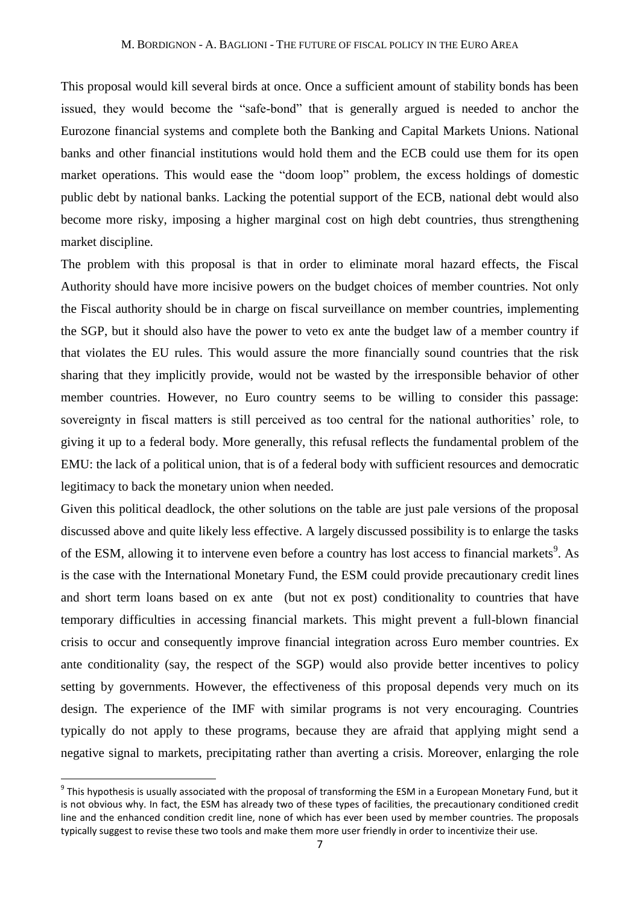This proposal would kill several birds at once. Once a sufficient amount of stability bonds has been issued, they would become the "safe-bond" that is generally argued is needed to anchor the Eurozone financial systems and complete both the Banking and Capital Markets Unions. National banks and other financial institutions would hold them and the ECB could use them for its open market operations. This would ease the "doom loop" problem, the excess holdings of domestic public debt by national banks. Lacking the potential support of the ECB, national debt would also become more risky, imposing a higher marginal cost on high debt countries, thus strengthening market discipline.

The problem with this proposal is that in order to eliminate moral hazard effects, the Fiscal Authority should have more incisive powers on the budget choices of member countries. Not only the Fiscal authority should be in charge on fiscal surveillance on member countries, implementing the SGP, but it should also have the power to veto ex ante the budget law of a member country if that violates the EU rules. This would assure the more financially sound countries that the risk sharing that they implicitly provide, would not be wasted by the irresponsible behavior of other member countries. However, no Euro country seems to be willing to consider this passage: sovereignty in fiscal matters is still perceived as too central for the national authorities' role, to giving it up to a federal body. More generally, this refusal reflects the fundamental problem of the EMU: the lack of a political union, that is of a federal body with sufficient resources and democratic legitimacy to back the monetary union when needed.

Given this political deadlock, the other solutions on the table are just pale versions of the proposal discussed above and quite likely less effective. A largely discussed possibility is to enlarge the tasks of the ESM, allowing it to intervene even before a country has lost access to financial markets<sup>9</sup>. As is the case with the International Monetary Fund, the ESM could provide precautionary credit lines and short term loans based on ex ante (but not ex post) conditionality to countries that have temporary difficulties in accessing financial markets. This might prevent a full-blown financial crisis to occur and consequently improve financial integration across Euro member countries. Ex ante conditionality (say, the respect of the SGP) would also provide better incentives to policy setting by governments. However, the effectiveness of this proposal depends very much on its design. The experience of the IMF with similar programs is not very encouraging. Countries typically do not apply to these programs, because they are afraid that applying might send a negative signal to markets, precipitating rather than averting a crisis. Moreover, enlarging the role

 $^9$  This hypothesis is usually associated with the proposal of transforming the ESM in a European Monetary Fund, but it is not obvious why. In fact, the ESM has already two of these types of facilities, the precautionary conditioned credit line and the enhanced condition credit line, none of which has ever been used by member countries. The proposals typically suggest to revise these two tools and make them more user friendly in order to incentivize their use.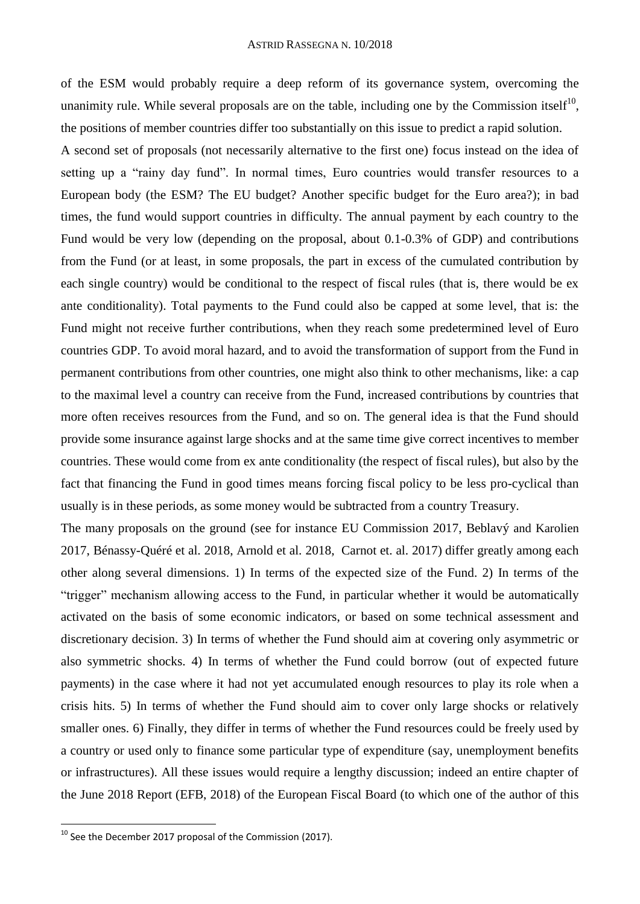of the ESM would probably require a deep reform of its governance system, overcoming the unanimity rule. While several proposals are on the table, including one by the Commission itself $10$ , the positions of member countries differ too substantially on this issue to predict a rapid solution.

A second set of proposals (not necessarily alternative to the first one) focus instead on the idea of setting up a "rainy day fund". In normal times, Euro countries would transfer resources to a European body (the ESM? The EU budget? Another specific budget for the Euro area?); in bad times, the fund would support countries in difficulty. The annual payment by each country to the Fund would be very low (depending on the proposal, about 0.1-0.3% of GDP) and contributions from the Fund (or at least, in some proposals, the part in excess of the cumulated contribution by each single country) would be conditional to the respect of fiscal rules (that is, there would be ex ante conditionality). Total payments to the Fund could also be capped at some level, that is: the Fund might not receive further contributions, when they reach some predetermined level of Euro countries GDP. To avoid moral hazard, and to avoid the transformation of support from the Fund in permanent contributions from other countries, one might also think to other mechanisms, like: a cap to the maximal level a country can receive from the Fund, increased contributions by countries that more often receives resources from the Fund, and so on. The general idea is that the Fund should provide some insurance against large shocks and at the same time give correct incentives to member countries. These would come from ex ante conditionality (the respect of fiscal rules), but also by the fact that financing the Fund in good times means forcing fiscal policy to be less pro-cyclical than usually is in these periods, as some money would be subtracted from a country Treasury.

The many proposals on the ground (see for instance EU Commission 2017, Beblavý and Karolien 2017, Bénassy-Quéré et al. 2018, Arnold et al. 2018, Carnot et. al. 2017) differ greatly among each other along several dimensions. 1) In terms of the expected size of the Fund. 2) In terms of the "trigger" mechanism allowing access to the Fund, in particular whether it would be automatically activated on the basis of some economic indicators, or based on some technical assessment and discretionary decision. 3) In terms of whether the Fund should aim at covering only asymmetric or also symmetric shocks. 4) In terms of whether the Fund could borrow (out of expected future payments) in the case where it had not yet accumulated enough resources to play its role when a crisis hits. 5) In terms of whether the Fund should aim to cover only large shocks or relatively smaller ones. 6) Finally, they differ in terms of whether the Fund resources could be freely used by a country or used only to finance some particular type of expenditure (say, unemployment benefits or infrastructures). All these issues would require a lengthy discussion; indeed an entire chapter of the June 2018 Report (EFB, 2018) of the European Fiscal Board (to which one of the author of this

 $10$  See the December 2017 proposal of the Commission (2017).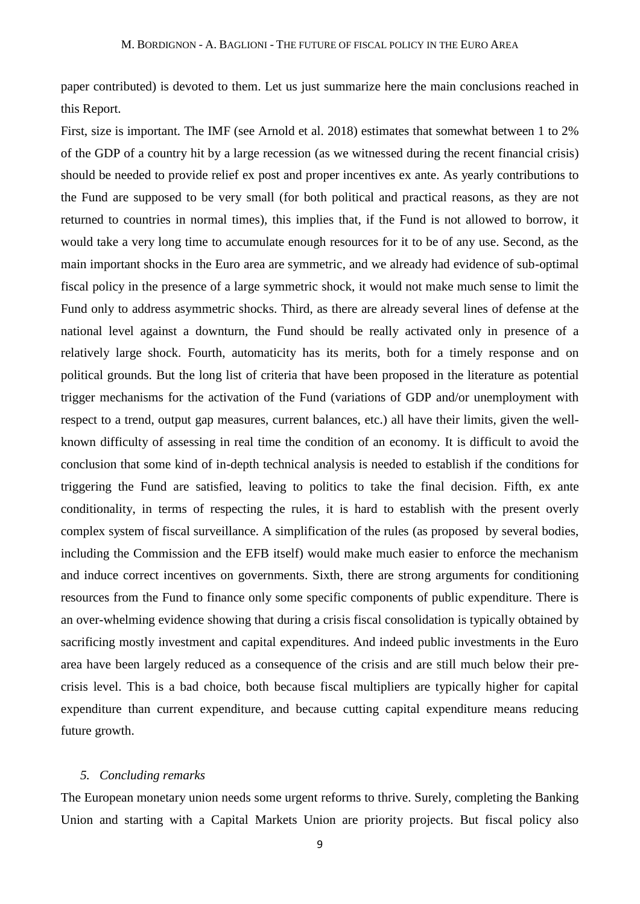paper contributed) is devoted to them. Let us just summarize here the main conclusions reached in this Report.

First, size is important. The IMF (see Arnold et al. 2018) estimates that somewhat between 1 to 2% of the GDP of a country hit by a large recession (as we witnessed during the recent financial crisis) should be needed to provide relief ex post and proper incentives ex ante. As yearly contributions to the Fund are supposed to be very small (for both political and practical reasons, as they are not returned to countries in normal times), this implies that, if the Fund is not allowed to borrow, it would take a very long time to accumulate enough resources for it to be of any use. Second, as the main important shocks in the Euro area are symmetric, and we already had evidence of sub-optimal fiscal policy in the presence of a large symmetric shock, it would not make much sense to limit the Fund only to address asymmetric shocks. Third, as there are already several lines of defense at the national level against a downturn, the Fund should be really activated only in presence of a relatively large shock. Fourth, automaticity has its merits, both for a timely response and on political grounds. But the long list of criteria that have been proposed in the literature as potential trigger mechanisms for the activation of the Fund (variations of GDP and/or unemployment with respect to a trend, output gap measures, current balances, etc.) all have their limits, given the wellknown difficulty of assessing in real time the condition of an economy. It is difficult to avoid the conclusion that some kind of in-depth technical analysis is needed to establish if the conditions for triggering the Fund are satisfied, leaving to politics to take the final decision. Fifth, ex ante conditionality, in terms of respecting the rules, it is hard to establish with the present overly complex system of fiscal surveillance. A simplification of the rules (as proposed by several bodies, including the Commission and the EFB itself) would make much easier to enforce the mechanism and induce correct incentives on governments. Sixth, there are strong arguments for conditioning resources from the Fund to finance only some specific components of public expenditure. There is an over-whelming evidence showing that during a crisis fiscal consolidation is typically obtained by sacrificing mostly investment and capital expenditures. And indeed public investments in the Euro area have been largely reduced as a consequence of the crisis and are still much below their precrisis level. This is a bad choice, both because fiscal multipliers are typically higher for capital expenditure than current expenditure, and because cutting capital expenditure means reducing future growth.

#### *5. Concluding remarks*

The European monetary union needs some urgent reforms to thrive. Surely, completing the Banking Union and starting with a Capital Markets Union are priority projects. But fiscal policy also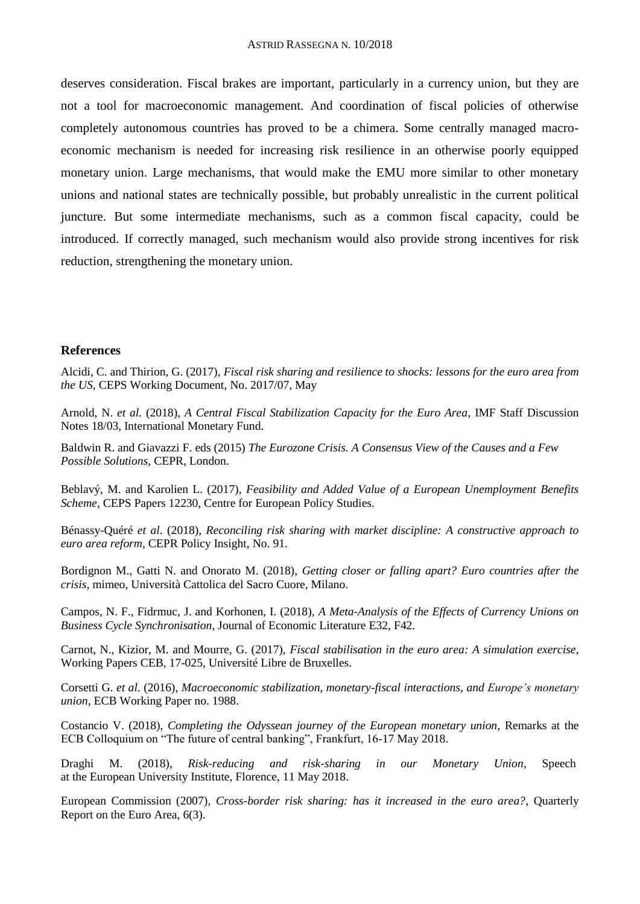deserves consideration. Fiscal brakes are important, particularly in a currency union, but they are not a tool for macroeconomic management. And coordination of fiscal policies of otherwise completely autonomous countries has proved to be a chimera. Some centrally managed macroeconomic mechanism is needed for increasing risk resilience in an otherwise poorly equipped monetary union. Large mechanisms, that would make the EMU more similar to other monetary unions and national states are technically possible, but probably unrealistic in the current political juncture. But some intermediate mechanisms, such as a common fiscal capacity, could be introduced. If correctly managed, such mechanism would also provide strong incentives for risk reduction, strengthening the monetary union.

# **References**

Alcidi, C. and Thirion, G. (2017), *Fiscal risk sharing and resilience to shocks: lessons for the euro area from the US*, CEPS Working Document, No. 2017/07, May

Arnold, N. *et al.* (2018), *A Central Fiscal Stabilization Capacity for the Euro Area*, IMF Staff Discussion Notes 18/03, International Monetary Fund.

Baldwin R. and Giavazzi F. eds (2015) *The Eurozone Crisis. A Consensus View of the Causes and a Few Possible Solutions*, CEPR, London.

Beblavý, M. and Karolien L. (2017), *Feasibility and Added Value of a European Unemployment Benefits Scheme*, CEPS Papers 12230, Centre for European Policy Studies.

Bénassy-Quéré *et al*. (2018), *Reconciling risk sharing with market discipline: A constructive approach to euro area reform*, CEPR Policy Insight, No. 91.

Bordignon M., Gatti N. and Onorato M. (2018), *Getting closer or falling apart? Euro countries after the crisis,* mimeo, Università Cattolica del Sacro Cuore, Milano.

Campos, N. F., Fidrmuc, J. and Korhonen, I. (2018), *A Meta-Analysis of the Effects of Currency Unions on Business Cycle Synchronisation*, Journal of Economic Literature E32, F42.

Carnot, N., Kizior, M. and Mourre, G. (2017), *Fiscal stabilisation in the euro area: A simulation exercise*, Working Papers CEB, 17-025, Université Libre de Bruxelles.

Corsetti G. *et al*. (2016), *Macroeconomic stabilization, monetary-fiscal interactions, and Europe's monetary union*, ECB Working Paper no. 1988.

Costancio V. (2018), *Completing the Odyssean journey of the European monetary union*, Remarks at the ECB Colloquium on "The future of central banking", Frankfurt, 16-17 May 2018.

Draghi M. (2018), *Risk-reducing and risk-sharing in our Monetary Union,* Speech at the European University Institute, Florence, 11 May 2018.

European Commission (2007), *Cross-border risk sharing: has it increased in the euro area?*, Quarterly Report on the Euro Area, 6(3).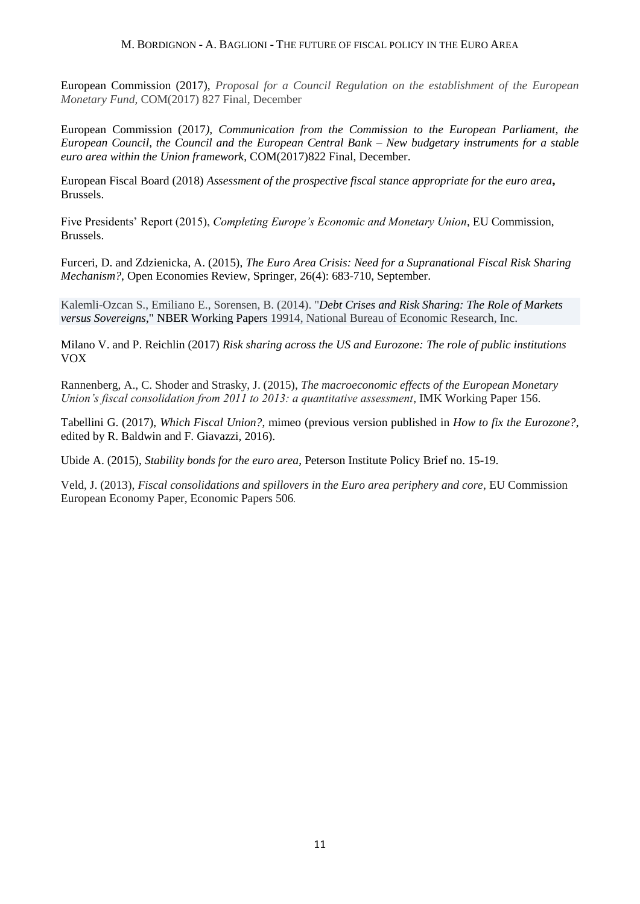#### M. BORDIGNON - A. BAGLIONI - THE FUTURE OF FISCAL POLICY IN THE EURO AREA

European Commission (2017), *Proposal for a Council Regulation on the establishment of the European Monetary Fund,* COM(2017) 827 Final, December

European Commission (2017*), Communication from the Commission to the European Parliament, the European Council, the Council and the European Central Bank – New budgetary instruments for a stable euro area within the Union framework*, COM(2017)822 Final, December.

European Fiscal Board (2018) *Assessment of the prospective fiscal stance appropriate for the euro area***,**  Brussels.

Five Presidents' Report (2015), *Completing Europe's Economic and Monetary Union*, EU Commission, Brussels.

Furceri, D. and Zdzienicka, A. (2015), *The Euro Area Crisis: Need for a Supranational Fiscal Risk Sharing Mechanism?*, Open Economies Review, Springer, 26(4): 683-710, September.

Kalemli-Ozcan S., Emiliano E., Sorensen, B. (2014). "*[Debt Crises and Risk Sharing: The Role of Markets](https://ideas.repec.org/p/nbr/nberwo/19914.html)  [versus Sovereigns](https://ideas.repec.org/p/nbr/nberwo/19914.html)*," [NBER Working Papers](https://ideas.repec.org/s/nbr/nberwo.html) 19914, National Bureau of Economic Research, Inc.

Milano V. and P. Reichlin (2017) *Risk sharing across the US and Eurozone: The role of public institutions* VOX

Rannenberg, A., C. Shoder and Strasky, J. (2015), *The macroeconomic effects of the European Monetary Union's fiscal consolidation from 2011 to 2013: a quantitative assessment*, IMK Working Paper 156.

Tabellini G. (2017), *Which Fiscal Union?*, mimeo (previous version published in *How to fix the Eurozone?*, edited by R. Baldwin and F. Giavazzi, 2016).

Ubide A. (2015), *Stability bonds for the euro area*, Peterson Institute Policy Brief no. 15-19.

Veld, J. (2013), *Fiscal consolidations and spillovers in the Euro area periphery and core*, EU Commission European Economy Paper, Economic Papers 506.